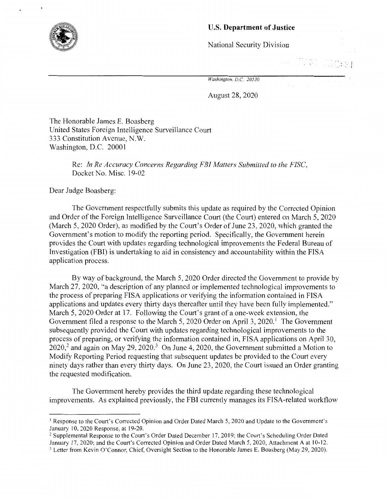

## U.S. **Department of Justice**

National Security Division

(1) 2 型 。<br>(1) 2 型 。

*Washington, D.C. 20530* 

August 28, 2020

The Honorable James E. Boasberg United States Foreign Intelligence Surveillance Court 333 Constitution Avenue, N.W. Washington, D.C. 20001

> Re: *In Re Accuracy Concerns Regarding FBI Matters Submitted to the FISC,*  Docket No. Misc. 19-02

Dear Judge Boasberg:

The Government respectfully submits this update as required by the Corrected Opinion and Order of the Foreign Intelligence Surveillance Court (the Court) entered on March 5, 2020 (March 5, 2020 Order), as modified by the Court's Order of June 23, 2020, which granted the Government's motion to modify the reporting period. Specifically, the Government herein provides the Court with updates regarding technological improvements the Federal Bureau of Investigation (FBI) is undertaking to aid in consistency and accountability within the FISA application process.

By way of background, the March 5, 2020 Order directed the Government to provide by March 27, 2020, "a description of any planned or implemented technological improvements to the process of preparing FISA applications or verifying the information contained in FISA applications and updates every thirty days thereafter until they have been fully implemented." March 5, 2020 Order at 17. Following the Court's grant of a one-week extension, the Government filed a response to the March 5, 2020 Order on April 3, 2020.<sup>1</sup> The Government subsequently provided the Court with updates regarding technological improvements to the process of preparing, or verifying the information contained in, FISA applications on April 30,  $2020$ <sup>2</sup> and again on May 29, 2020.<sup>3</sup> On June 4, 2020, the Government submitted a Motion to Modify Reporting Period requesting that subsequent updates be provided to the Court every ninety days rather than every thirty days. On June 23, 2020, the Court issued an Order granting the requested modification.

The Government hereby provides the third update regarding these technological improvements. As explained previously, the FBI currently manages its FISA-related workflow

<sup>&</sup>lt;sup>1</sup> Response to the Court's Corrected Opinion and Order Dated March 5, 2020 and Update to the Government's January 10, 2020 Response, at 19-20.<br><sup>2</sup> Supplemental Response to the Court's Order Dated December 17, 2019; the Court's Scheduling Order Dated

January 17, 2020; and the Court's Corrected Opinion and Order Dated March 5, 2020, Attachment A at 10-12. 3 Letter from Kevin O'Connor, Chief, Oversight Section to the Honorable James E. Boasberg (May 29, 2020).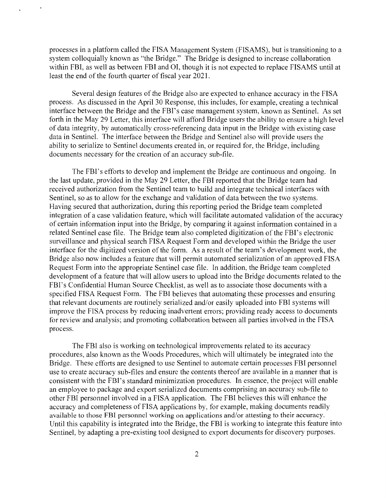processes in a platform called the FISA Management System (FISAMS), but is transitioning to a system colloquially known as "the Bridge." The Bridge is designed to increase collaboration within FBI, as well as between FBI and OI, though it is not expected to replace FISAMS until at least the end of the fourth quarter of fiscal year 2021.

Several design features of the Bridge also are expected to enhance accuracy in the FISA process. As discussed in the April 30 Response, this includes, for example, creating a technical interface between the Bridge and the FBI's case management system, known as Sentinel. As set forth in the May 29 Letter, this interface will afford Bridge users the ability to ensure a high level of data integrity, by automatically cross-referencing data input in the Bridge with existing case data in Sentinel. The interface between the Bridge and Sentinel also will provide users the ability to serialize to Sentinel documents created in, or required for, the Bridge, including documents necessary for the creation of an accuracy sub-file.

The FBI's efforts to develop and implement the Bridge are continuous and ongoing. In the last update, provided in the May 29 Letter, the FBI reported that the Bridge team had received authorization from the Sentinel team to build and integrate technical interfaces with Sentinel, so as to allow for the exchange and validation of data between the two systems. Having secured that authorization, during this reporting period the Bridge team completed integration of a case validation feature, which will facilitate automated validation of the accuracy of certain information input into the Bridge, by comparing it against information contained in a related Sentinel case file. The Bridge team also completed digitization of the FBI's electronic surveillance and physical search FISA Request Form and developed within the Bridge the user interface for the digitized version of the form. As a result of the team's development work, the Bridge also now includes a feature that will permit automated serialization of an approved FISA Request Form into the appropriate Sentinel case file. In addition, the Bridge team completed development of a feature that will allow users to upload into the Bridge documents related to the FBI's Confidential Human Source Checklist, as well as to associate those documents with a specified FISA Request Form. The FBI believes that automating these processes and ensuring that relevant documents are routinely serialized and/or easily uploaded into FBI systems will improve the FISA process by reducing inadvertent errors; providing ready access to documents for review and analysis; and promoting collaboration between all parties involved in the FISA process.

The FBI also is working on technological improvements related to its accuracy procedures, also known as the Woods Procedures, which will ultimately be integrated into the Bridge. These efforts are designed to use Sentinel to automate certain processes FBI personnel use to create accuracy sub-files and ensure the contents thereof are available in a manner that is consistent with the FBI's standard minimization procedures. In essence, the project will enable an employee to package and export serialized documents comprising an accuracy sub-file to other FBI personnel involved in a FISA application. The FBI believes this will enhance the accuracy and completeness of FISA applications by, for example, making documents readily available to those FBI personnel working on applications and/or attesting to their accuracy. Until this capability is integrated into the Bridge, the FBI is working to integrate this feature into Sentinel, by adapting a pre-existing tool designed to export documents for discovery purposes.